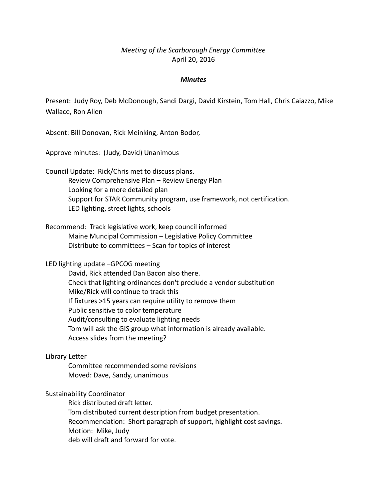# *Meeting of the Scarborough Energy Committee* April 20, 2016

#### *Minutes*

Present: Judy Roy, Deb McDonough, Sandi Dargi, David Kirstein, Tom Hall, Chris Caiazzo, Mike Wallace, Ron Allen

Absent: Bill Donovan, Rick Meinking, Anton Bodor,

Approve minutes: (Judy, David) Unanimous

Council Update: Rick/Chris met to discuss plans. Review Comprehensive Plan – Review Energy Plan Looking for a more detailed plan Support for STAR Community program, use framework, not certification. LED lighting, street lights, schools

Recommend: Track legislative work, keep council informed Maine Muncipal Commission – Legislative Policy Committee Distribute to committees – Scan for topics of interest

# LED lighting update –GPCOG meeting

David, Rick attended Dan Bacon also there. Check that lighting ordinances don't preclude a vendor substitution Mike/Rick will continue to track this If fixtures >15 years can require utility to remove them Public sensitive to color temperature Audit/consulting to evaluate lighting needs Tom will ask the GIS group what information is already available. Access slides from the meeting?

# Library Letter

Committee recommended some revisions Moved: Dave, Sandy, unanimous

# Sustainability Coordinator

Rick distributed draft letter. Tom distributed current description from budget presentation. Recommendation: Short paragraph of support, highlight cost savings. Motion: Mike, Judy deb will draft and forward for vote.